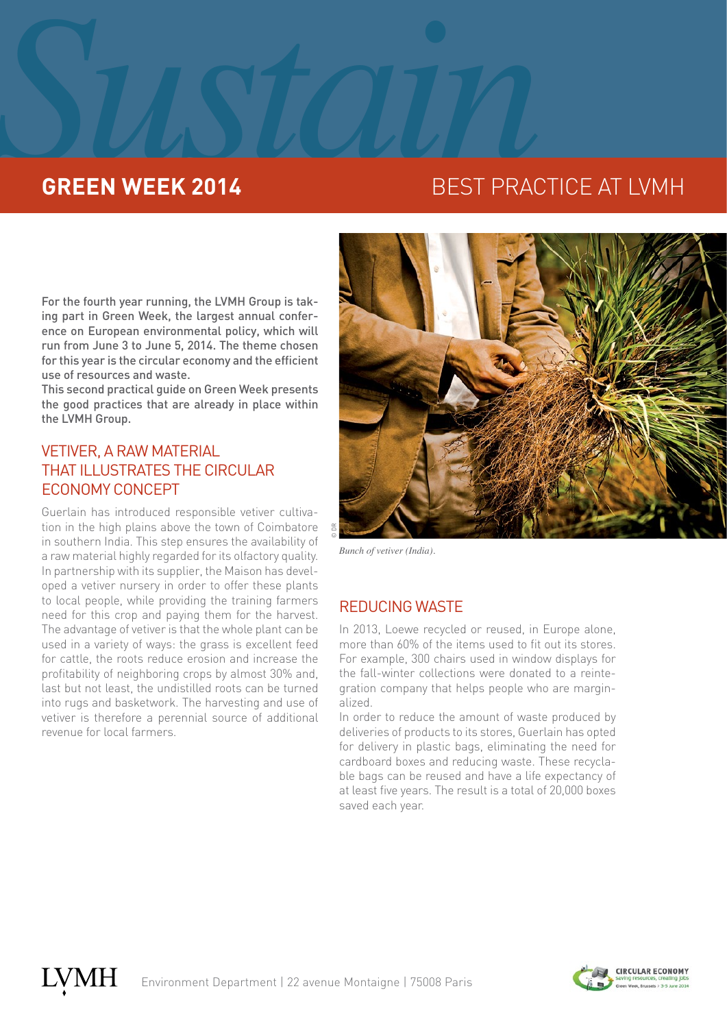# **SURFACE SURFACE SURFACE SURFACE SURFACE SURFACE SURFACE SURFACE SURFACE SURFACE**

## **GREEN WEEK 2014** BEST PRACTICE AT LVMH

For the fourth year running, the LVMH Group is taking part in Green Week, the largest annual conference on European environmental policy, which will run from June 3 to June 5, 2014. The theme chosen for this year is the circular economy and the efficient use of resources and waste.

This second practical guide on Green Week presents the good practices that are already in place within the LVMH Group.

## VETIVER, A RAW MATERIAL THAT ILLUSTRATES THE CIRCULAR ECONOMY CONCEPT

Guerlain has introduced responsible vetiver cultivation in the high plains above the town of Coimbatore in southern India. This step ensures the availability of a raw material highly regarded for its olfactory quality. In partnership with its supplier, the Maison has developed a vetiver nursery in order to offer these plants to local people, while providing the training farmers need for this crop and paying them for the harvest. The advantage of vetiver is that the whole plant can be used in a variety of ways: the grass is excellent feed for cattle, the roots reduce erosion and increase the profitability of neighboring crops by almost 30% and, last but not least, the undistilled roots can be turned into rugs and basketwork. The harvesting and use of vetiver is therefore a perennial source of additional revenue for local farmers.



*Bunch of vetiver (India).*

## REDUCING WASTE

In 2013, Loewe recycled or reused, in Europe alone, more than 60% of the items used to fit out its stores. For example, 300 chairs used in window displays for the fall-winter collections were donated to a reintegration company that helps people who are marginalized.

In order to reduce the amount of waste produced by deliveries of products to its stores, Guerlain has opted for delivery in plastic bags, eliminating the need for cardboard boxes and reducing waste. These recyclable bags can be reused and have a life expectancy of at least five years. The result is a total of 20,000 boxes saved each year.